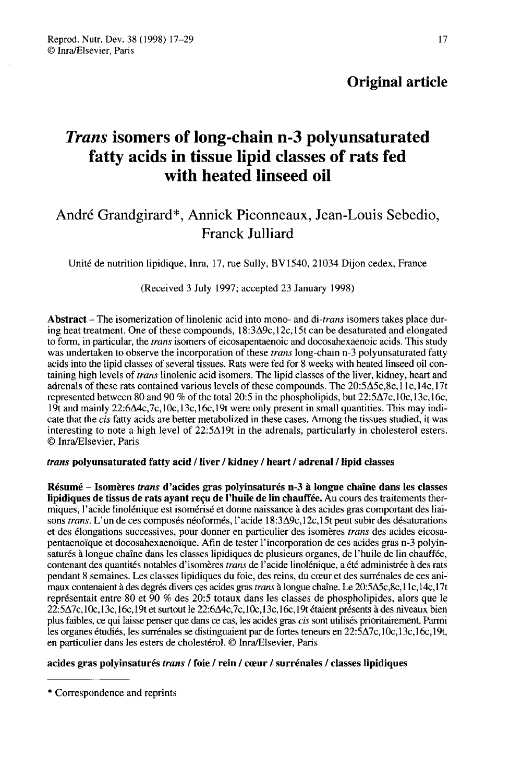# Trans isomers of long-chain n-3 polyunsaturated fatty acids in tissue lipid classes of rats fed with heated linseed oil

# André Grandgirard\*, Annick Piconneaux, Jean-Louis Sebedio, Franck Julliard

Unité de nutrition lipidique, Inra, 17, rue Sully, BV 1540, 21034 Dijon cedex, France

(Received 3 July 1997; accepted 23 January 1998)

Abstract – The isomerization of linolenic acid into mono- and di-*trans* isomers takes place during heat treatment. One of these compounds,  $18:3\Delta9c, 12c, 15t$  can be desaturated and elongated to form, in particular, the trans isomers of eicosapentaenoic and docosahexaenoic acids. This study was undertaken to observe the incorporation of these *trans* long-chain n-3 polyunsaturated fatty acids into the lipid classes of several tissues. Rats were fed for 8 weeks with heated linseed oil containing high levels of trans linolenic acid isomers. The lipid classes of the liver, kidney, heart and adrenals of these rats contained various levels of these compounds. The  $20:5\Delta 5c.8c,11c,14c,17t$ represented between 80 and 90 % of the total 20:5 in the phospholipids, but  $22:5\Delta 7c, 10c, 13c, 16c$ , 19t and mainly  $22:6\Delta 4c$ ,  $7c$ ,  $10c$ ,  $13c$ ,  $16c$ ,  $19t$  were only present in small quantities. This may indicate that the cis fatty acids are better metabolized in these cases. Among the tissues studied, it was interesting to note a high level of  $22:5\Delta 19t$  in the adrenals, particularly in cholesterol esters. © Inra/Elsevier, Paris

#### trans polyunsaturated fatty acid / liver / kidney / heart / adrenal / lipid classes

Résumé - Isomères trans d'acides gras polyinsaturés n-3 à longue chaîne dans les classes lipidiques de tissus de rats ayant reçu de l'huile de lin chauffée. Au cours des traitements thermiques, l'acide linolénique est isomérisé et donne naissance à des acides gras comportant des liaisons trans. L'un de ces composés néoformés, l'acide 18:3A9c, 12c,15t peut subir des désaturations et des élongations successives, pour donner en particulier des isomères trans des acides eicosapentaenoïque et docosahexaenoïque. Afin de tester l'incorporation de ces acides gras n-3 polyinsaturés à longue chaîne dans les classes lipidiques de plusieurs organes, de l'huile de lin chauffée, contenant des quantités notables d'isomères trans de l'acide linolénique, a été administrée à des rats pendant 8 semaines. Les classes lipidiques du foie, des reins, du coeur et des surrénales de ces animaux contenaient à des degrés divers ces acides gras *trans* à longue chaîne. Le 20:5 $\Delta$ 5c,8c,11c,14c,17t représentait entre 80 et 90 % des 20:5 totaux dans les classes de phospholipides, alors que le 22:5A7c, 10e, 13c.l6c.l9t et surtout le 22:6A4c,7c, 10e,l 3c, 16c, 19t étaient présents à des niveaux bien plus faibles, ce qui laisse penser que dans ce cas, les acides gras *cis* sont utilisés prioritairement. Parmi les organes étudiés, les surrénales se distinguaient par de fortes teneurs en 22:5 $\Delta$ 7c, 10c, 13c, 16c, 19t, en particulier dans les esters de cholestérol. © Inra/Elsevier, Paris

#### acides gras polyinsaturés trans / foie / rein / cœur / surrénales / classes lipidiques

<sup>\*</sup> Correspondence and reprints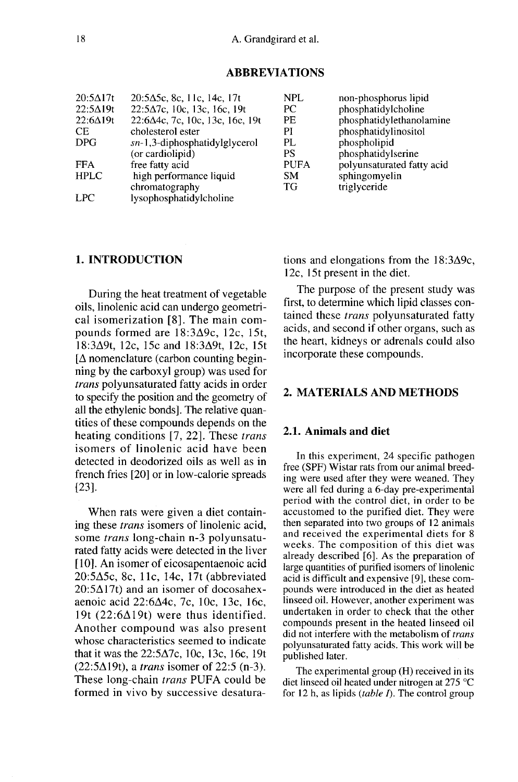# **ABBREVIATIONS**

| $20:5\Delta17t$                         | $20:5\Delta$ 5c, 8c, 11c, 14c, 17t                                                                          | NPL.                                 | non-phosphorus lipid                                                              |
|-----------------------------------------|-------------------------------------------------------------------------------------------------------------|--------------------------------------|-----------------------------------------------------------------------------------|
| $22:5\Delta 19t$                        | $22:5\Delta7c$ , 10c, 13c, 16c, 19t                                                                         | РC                                   | phosphatidylcholine                                                               |
| $22:6\Delta 19t$                        | $22:6\Delta 4c$ , 7c, 10c, 13c, 16c, 19t                                                                    | PF.                                  | phosphatidylethanolamine                                                          |
| СE                                      | cholesterol ester                                                                                           | PI                                   | phosphatidylinositol                                                              |
| DPG                                     | $sn-1,3$ -diphosphatidylglycerol                                                                            | PL.                                  | phospholipid                                                                      |
| <b>FFA</b><br><b>HPLC</b><br><b>LPC</b> | (or cardiolipid)<br>free fatty acid<br>high performance liquid<br>chromatography<br>lysophosphatidylcholine | PS<br><b>PUFA</b><br><b>SM</b><br>TG | phosphatidylserine<br>polyunsaturated fatty acid<br>sphingomyelin<br>triglyceride |

### 1. INTRODUCTION

During the heat treatment of vegetable oils, linolenic acid can undergo geometrical isomerization [8]. The main compounds formed are 18:3A9c, 12c, 15t, 18:3A9t, 12c, 15c and 18:3A9t, 12c, 15t  $[\Delta$  nomenclature (carbon counting beginning by the carboxyl group) was used for trans polyunsaturated fatty acids in order to specify the position and the geometry of all the ethylenic bonds]. The relative quantities of these compounds depends on the heating conditions [7, 22]. These trans isomers of linolenic acid have been detected in deodorized oils as well as in french fries [20] or in low-calorie spreads [23].

When rats were given a diet containing these trans isomers of linolenic acid, some trans long-chain n-3 polyunsaturated fatty acids were detected in the liver [10]. An isomer of eicosapentaenoic acid 20:5A5c, 8c, llc, 14c, 17t (abbreviated  $20:5\Delta$ 17t) and an isomer of docosahexaenoic acid 22:6A4c, 7c, 10c, 13c, 16c, 19t  $(22:6\Delta19t)$  were thus identified. Another compound was also present whose characteristics seemed to indicate that it was the  $22:5\Delta7c$ , 10c, 13c, 16c, 19t  $(22:5\Delta19t)$ , a *trans* isomer of 22:5 (n-3). These long-chain trans PUFA could be formed in vivo by successive desaturations and elongations from the  $18:3\Delta9c$ , 12c, 15t present in the diet.

The purpose of the present study was first, to determine which lipid classes contained these trans polyunsaturated fatty acids, and second if other organs, such as the heart, kidneys or adrenals could also incorporate these compounds.

### 2. MATERIALS AND METHODS

# 2.1. Animals and diet

In this experiment, 24 specific pathogen free (SPF) Wistar rats from our animal breeding were used after they were weaned. They were all fed during a 6-day pre-experimental period with the control diet, in order to be accustomed to the purified diet. They were then separated into two groups of 12 animals and received the experimental diets for 8 weeks. The composition of this diet was already described [6]. As the preparation of large quantities of purified isomers of linolenic acid is difficult and expensive [9], these compounds were introduced in the diet as heated linseed oil. However, another experiment was undertaken in order to check that the other compounds present in the heated linseed oil did not interfere with the metabolism of trans polyunsaturated fatty acids. This work will be published later.

The experimental group (H) received in its diet linseed oil heated under nitrogen at 275 °C for 12 h, as lipids (table  $\Gamma$ ). The control group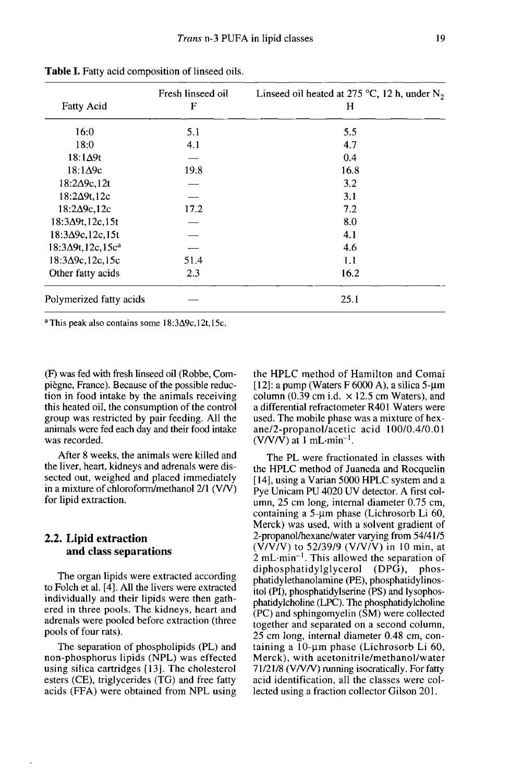| <b>Fatty Acid</b>           | Fresh linseed oil<br>F | Linseed oil heated at 275 °C, 12 h, under $N_2$<br>Н |
|-----------------------------|------------------------|------------------------------------------------------|
| 16:0                        | 5.1                    | 5.5                                                  |
| 18:0                        | 4.1                    | 4.7                                                  |
| $18:1\Delta9t$              |                        | 0.4                                                  |
| $18:1\Delta$ 9c             | 19.8                   | 16.8                                                 |
| $18:2\Delta$ 9c, 12t        |                        | 3.2                                                  |
| $18:2\Delta9t.12c$          |                        | 3.1                                                  |
| $18:2\Delta$ 9c, 12c        | 17.2                   | 7.2                                                  |
| $18:3\Delta9t, 12c, 15t$    |                        | 8.0                                                  |
| $18:3\Delta$ 9c, 12c, 15t   |                        | 4.1                                                  |
| $18:3\Delta 9t, 12c, 15c^a$ |                        | 4.6                                                  |
| $18:3\Delta$ 9c, 12c, 15c   | 51.4                   | 1.1                                                  |
| Other fatty acids           | 2.3                    | 16.2                                                 |
| Polymerized fatty acids     |                        | 25.1                                                 |

Table I. Fatty acid composition of linseed oils.

<sup>a</sup> This peak also contains some  $18:3\Delta 9c,12t,15c$ .

(F) was fed with fresh linseed oil (Robbe, Compiègne, France). Because of the possible reduction in food intake by the animals receiving this heated oil, the consumption of the control group was restricted by pair feeding. All the animals were fed each day and their food intake was recorded.

After 8 weeks, the animals were killed and the liver, heart, kidneys and adrenals were dissected out, weighed and placed immediately in a mixture of chloroform/methanol 2/1 (V/V) for lipid extraction.

#### 2.2. Lipid extraction and class separations

The organ lipids were extracted according to Folch et al. [4]. All the livers were extracted individually and their lipids were then gathered in three pools. The kidneys, heart and adrenals were pooled before extraction (three pools of four rats).

The separation of phospholipids (PL) and non-phosphorus lipids (NPL) was effected using silica cartridges [13]. The cholesterol esters (CE), triglycerides (TG) and free fatty acids (FFA) were obtained from NPL using the HPLC method of Hamilton and Comai [12]: a pump (Waters F 6000 A), a silica  $5-\mu m$ column (0.39 cm i.d.  $\times$  12.5 cm Waters), and a differential refractometer R401 Waters were used. The mobile phase was a mixture of hexane/2-propanol/acetic acid 100/0.4/0.01 I (Valum (0.39 cm i.d.  $\times$  12.5 cm V<br>column (0.39 cm i.d.  $\times$  12.5 cm V<br>a differential refractometer R401 v<br>used. The mobile phase was a mix<br>ane/2-propanol/acetic acid 10<br>(V/V/V) at 1 mL·min<sup>-1</sup>.

The PL were fractionated in classes with the HPLC method of Juaneda and Rocquelin [14], using a Varian 5000 HPLC system and a Pye Unicam PU 4020 UV detector. A first column, 25 cm long, internal diameter 0.75 cm, containing a  $5$ -um phase (Lichrosorb Li 60, Merck) was used, with a solvent gradient of 2-propanol/hexane/water varying from 54/41/5  $(\overline{V}/\overline{V}/V)$  to 52/39/9 (V/V/V) in 10 min, at  $\hat{2}$  mL $\cdot$ min<sup>-1</sup>. This allowed the separation of diphosphatidylglycerol (DPG), phosdiphosphatidylglycerol (DPG), phatidylethanolamine (PE), phosphatidylinositol (PI), phosphatidylserine (PS) and lysophosphatidylcholine (LPC). The phosphatidylcholine (PC) and sphingomyelin (SM) were collected together and separated on a second column, 25 cm long, internal diameter 0.48 cm, containing a  $10$ -µm phase (Lichrosorb Li 60, Merck), with acetonitrile/methanol/water 71/21/8 (V/V/V) running isocratically. For fatty acid identification, all the classes were collected using a fraction collector Gilson 201.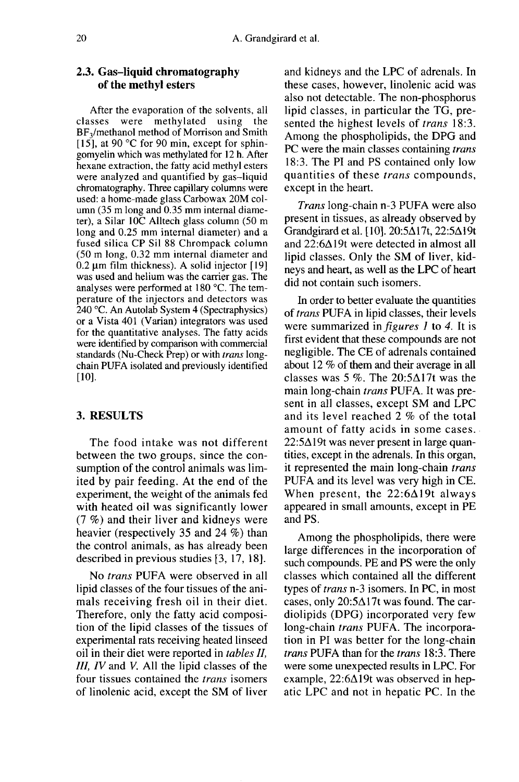# 2.3. Gas-liquid chromatography of the methyl esters

After the evaporation of the solvents, all classes were methylated using the<br>BF<sub>3</sub>/methanol method of Morrison and Smith **2.3. Gas-liquid chromatography**<br>
of the methyl esters<br>
After the evaporation of the solvents, all<br>
classes were methylated using the<br>
BF<sub>3</sub>/methanol method of Morrison and Smith-<br>
[15], at 90 °C for 90 min, except for sp [15], at 90  $\degree$ C for 90 min, except for sphingomyelin which was methylated for 12 h. After hexane extraction, the fatty acid methyl esters were analyzed and quantified by gas-liquid chromatography. Three capillary columns were used: a home-made glass Carbowax 20M column (35 m long and 0.35 mm internal diameter), a Silar IOC Alltech glass column (50 m long and 0.25 mm internal diameter) and a fused silica CP Sil 88 Chrompack column (50 m long, 0.32 mm internal diameter and  $0.2 \mu$ m film thickness). A solid injector [19] was used and helium was the carrier gas. The analyses were performed at 180 °C. The temperature of the injectors and detectors was 240 °C. An Autolab System 4 (Spectraphysics) or a Vista 401 (Varian) integrators was used for the quantitative analyses. The fatty acids were identified by comparison with commercial standards (Nu-Check Prep) or with *trans* longchain PUFA isolated and previously identified  $[10]$ .

# 3. RESULTS

The food intake was not different between the two groups, since the consumption of the control animals was limited by pair feeding. At the end of the experiment, the weight of the animals fed with heated oil was significantly lower (7 %) and their liver and kidneys were heavier (respectively 35 and 24 %) than the control animals, as has already been described in previous studies [3, 17, 18].

No trans PUFA were observed in all lipid classes of the four tissues of the animals receiving fresh oil in their diet. Therefore, only the fatty acid composition of the lipid classes of the tissues of experimental rats receiving heated linseed oil in their diet were reported in tables II, III, IV and V. All the lipid classes of the four tissues contained the trans isomers of linolenic acid, except the SM of liver

and kidneys and the LPC of adrenals. In these cases, however, linolenic acid was also not detectable. The non-phosphorus lipid classes, in particular the TG, presented the highest levels of *trans* 18:3. Among the phospholipids, the DPG and PC were the main classes containing *trans* 18:3. The PI and PS contained only low quantities of these trans compounds, except in the heart.

Trans long-chain n-3 PUFA were also present in tissues, as already observed by Grandgirard et al. [10]. 20:5A I 7t, 22:5A I 9t and 22:6A19t were detected in almost all lipid classes. Only the SM of liver, kidneys and heart, as well as the LPC of heart did not contain such isomers.

In order to better evaluate the quantities of trans PUFA in lipid classes, their levels were summarized in *figures 1* to 4. It is first evident that these compounds are not negligible. The CE of adrenals contained about 12 % of them and their average in all classes was 5 %. The  $20:5\Delta17t$  was the main long-chain trans PUFA. It was present in all classes, except SM and LPC and its level reached 2 % of the total amount of fatty acids in some cases.  $22:5\Delta$ 19t was never present in large quantities, except in the adrenals. In this organ, it represented the main long-chain trans PUFA and its level was very high in CE. When present, the  $22:6\Delta 19t$  always appeared in small amounts, except in PE and PS.

Among the phospholipids, there were large differences in the incorporation of such compounds. PE and PS were the only classes which contained all the different types of trans n-3 isomers. In PC, in most cases, only  $20:5\Delta$ 17t was found. The cardiolipids (DPG) incorporated very few long-chain *trans* PUFA. The incorporation in PI was better for the long-chain trans PUFA than for the trans 18:3. There were some unexpected results in LPC. For example,  $22:6\Delta 19t$  was observed in hepatic LPC and not in hepatic PC. In the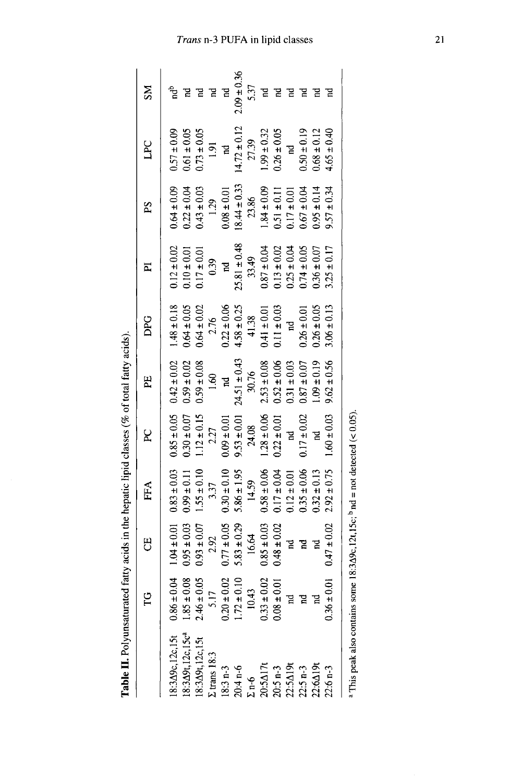|                                                                                                | p                                  | 5               | FFA             | R               | ዚ                | DPG             | ᅀ                | Σď                                 | LPC              | ŠΝ              |
|------------------------------------------------------------------------------------------------|------------------------------------|-----------------|-----------------|-----------------|------------------|-----------------|------------------|------------------------------------|------------------|-----------------|
| 18:349c, 12c, 15t                                                                              | $0.86 \pm 0.04$                    | $1.04 \pm 0.01$ | $0.83 \pm 0.03$ | $0.85 \pm 0.05$ | $0.42 \pm 0.02$  | $1.48 \pm 0.18$ | $0.12 \pm 0.02$  | $0.64 \pm 0.09$                    | $0.57 \pm 0.09$  |                 |
| 18:349t, 12c, 15c <sup>a</sup>                                                                 | $1.85 \pm 0.08$                    | $0.95 \pm 0.03$ | $0.99 \pm 0.11$ | $0.30 \pm 0.07$ | $0.59 \pm 0.02$  | $0.64 \pm 0.05$ | $0.10 \pm 0.01$  | $0.22 \pm 0.04$                    | $0.61 \pm 0.05$  |                 |
| 18:349t, 12c, 15t                                                                              | $2.46 \pm 0.05$                    | $0.93 \pm 0.07$ | $1.55 \pm 0.10$ | $1.12 \pm 0.15$ | $0.59 \pm 0.08$  | $0.64 \pm 0.02$ | $0.17 \pm 0.01$  | $0.43 \pm 0.03$                    | $0.73 \pm 0.05$  |                 |
| $\Sigma$ trans $18.3$                                                                          | 5.17                               | 2.92            | 3.37            | 2.27            | 1.60             | 2.76            | 0.39             | 1.29                               | 1.91             |                 |
| 18:3 n-3<br>20:4 n-6<br>$\Sigma$ n-6                                                           |                                    | $0.77 \pm 0.05$ | $0.30 \pm 0.10$ | $0.09 \pm 0.01$ | <b>A</b>         | $0.22 \pm 0.06$ | $\overline{a}$   | $0.08 \pm 0.01$                    | $\overline{a}$   | $\mathbf{R}$    |
|                                                                                                | $0.20 \pm 0.02$<br>$1.72 \pm 0.10$ | $5.83 \pm 0.29$ | $5.86 \pm 1.95$ | $9.53 \pm 0.01$ | $24.51 \pm 0.43$ | $4.58 \pm 0.25$ | $25.81 \pm 0.48$ | $18.44 \pm 0.33$                   | $14.72 \pm 0.12$ | $2.09 \pm 0.36$ |
|                                                                                                | 10.43                              | 16.64           | 14.59           | 24.08           | 30.76            | 41.38           | 33.49            | 23.86                              | 27.39            | 5.37            |
| $20:5\,\mathrm{Al}7t$<br>$20:5\,\mathrm{n-3}$<br>$22:5\,\mathrm{Al}9t$<br>$22:5\,\mathrm{n-3}$ |                                    | $0.85 \pm 0.03$ | $0.58 \pm 0.06$ | $1.28 \pm 0.06$ | $2.53 \pm 0.08$  | $0.41 \pm 0.01$ | $0.87 \pm 0.04$  | $1.84 \pm 0.09$                    | $1.99 \pm 0.32$  |                 |
|                                                                                                | $0.33 \pm 0.02$<br>$0.08 \pm 0.01$ | $0.02$ ± 0.02   | $0.17 \pm 0.04$ | $0.22 \pm 0.01$ | $0.52 \pm 0.06$  | $0.11 \pm 0.03$ | $0.13\pm0.02$    | $0.51 \pm 0.11$                    | $0.26 \pm 0.05$  |                 |
|                                                                                                | $\overline{a}$                     | 5               | $0.12 \pm 0.01$ | $\overline{a}$  | $0.31 \pm 0.03$  | <u>ក្ន</u>      | $0.25 \pm 0.04$  | $0.17 \pm 0.01$<br>$0.67 \pm 0.04$ | $\mathbf{z}$     |                 |
|                                                                                                | $\mathbb{R}$                       | $\mathbb{R}$    | $0.35 \pm 0.06$ | $0.17 \pm 0.02$ | $0.87 \pm 0.07$  | $0.26 \pm 0.01$ | $0.74 \pm 0.05$  |                                    | $0.50 \pm 0.19$  |                 |
| 22:6Δ19                                                                                        |                                    | $\mathbbmss{E}$ | $0.32 \pm 0.13$ | 5               | $1.09 \pm 0.19$  | $0.26 \pm 0.05$ | $0.36 \pm 0.07$  | $0.95 \pm 0.14$                    | $0.68 \pm 0.12$  |                 |
| $22.6 n-3$                                                                                     | 0.01<br>$0.36 \pm 1$               | $0.47 \pm 0.02$ | $2.92 \pm 0.75$ | $1.60 \pm 0.03$ | $9.62 \pm 0.56$  | $3.06 \pm 0.13$ | $3.25 \pm 0.17$  | $9.57 \pm 0.34$                    | $4.65 \pm 0.40$  |                 |
| <sup>a</sup> This peak also contains some 18:349c, 12t, 15c; $^{b}$ nd = not detected (< 0.05) |                                    |                 |                 |                 |                  |                 |                  |                                    |                  |                 |

Table II. Polyunsaturated fatty acids in the hepatic lipid classes (% of total fatty acids).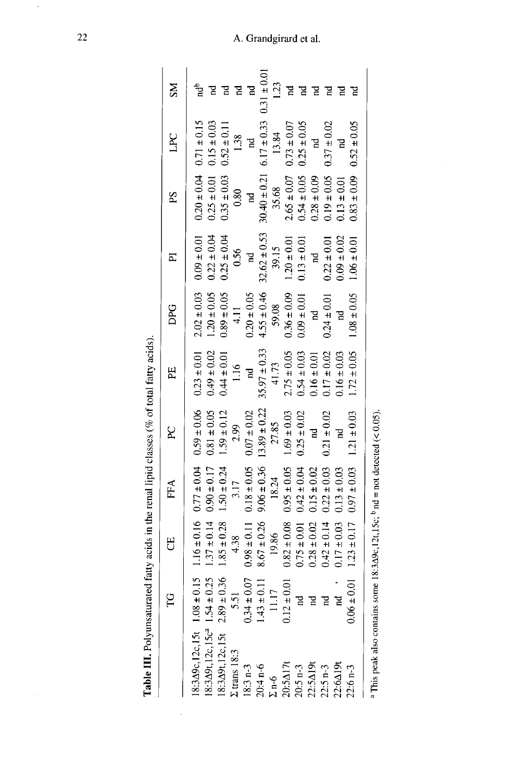| į                                                                                                                                                                                                                                                                                                                            |
|------------------------------------------------------------------------------------------------------------------------------------------------------------------------------------------------------------------------------------------------------------------------------------------------------------------------------|
| $\begin{bmatrix} 1 & 0 & 0 & 0 \\ 0 & 0 & 0 & 0 \\ 0 & 0 & 0 & 0 \\ 0 & 0 & 0 & 0 \\ 0 & 0 & 0 & 0 \\ 0 & 0 & 0 & 0 \\ 0 & 0 & 0 & 0 \\ 0 & 0 & 0 & 0 & 0 \\ 0 & 0 & 0 & 0 & 0 \\ 0 & 0 & 0 & 0 & 0 \\ 0 & 0 & 0 & 0 & 0 & 0 \\ 0 & 0 & 0 & 0 & 0 & 0 \\ 0 & 0 & 0 & 0 & 0 & 0 \\ 0 & 0 & 0 & 0 & 0 & 0 \\ 0 & 0 & 0 & 0 & $ |
| j                                                                                                                                                                                                                                                                                                                            |
| í                                                                                                                                                                                                                                                                                                                            |
| ֧֧֧֧֧֧֧֧֧֧֧֧֓֓֓֓֓֓֓֓֓֓֓֓<br>í                                                                                                                                                                                                                                                                                                |
| i<br>こうこうしょう                                                                                                                                                                                                                                                                                                                 |
|                                                                                                                                                                                                                                                                                                                              |
| i                                                                                                                                                                                                                                                                                                                            |
|                                                                                                                                                                                                                                                                                                                              |
|                                                                                                                                                                                                                                                                                                                              |
| $\frac{1}{2}$                                                                                                                                                                                                                                                                                                                |
| .<br>E                                                                                                                                                                                                                                                                                                                       |

 $\ddot{\phantom{0}}$ 

|                                                                                                               | p                              | 5<br>C          | FFA             | RC               | Ë                | DPG             | $\overline{a}$   | Sd                      | LPC             | <b>NS</b>       |
|---------------------------------------------------------------------------------------------------------------|--------------------------------|-----------------|-----------------|------------------|------------------|-----------------|------------------|-------------------------|-----------------|-----------------|
| $8:3\triangle 9c, 12c, 15t$ $1.08 \pm 0.15$                                                                   |                                | $1.16 \pm 0.16$ | $0.77 \pm 0.04$ | $0.59 \pm 0.06$  | $0.23 \pm 0.01$  | $2.02 \pm 0.03$ | $0.09 \pm 0.01$  | $0.20 \pm 0.04$         | $0.71 \pm 0.15$ | ដើ              |
| $8:3\Delta 9t$ , 12c, 15c <sup>a</sup> 1.54 ± 0.25                                                            |                                | $1.37 \pm 0.14$ | $0.90 \pm 0.17$ | $0.81 \pm 0.05$  | $0.49 \pm 0.02$  | $1.20 \pm 0.05$ | $0.22 \pm 0.04$  | $0.25 \pm 0.01$         | $0.15 \pm 0.03$ |                 |
| $8:3\Delta 9t, 12c, 15t$ 2.89 ±                                                                               | 0.36                           | $1.85 \pm 0.28$ | $1.50 \pm 0.24$ | $1.59 \pm 0.12$  | $0.44 \pm 0.01$  | $0.89 \pm 0.05$ | $0.25 \pm 0.04$  | $0.35 \pm 0.03$         | $0.52 \pm 0.11$ |                 |
| $\Sigma$ trans $18:3$                                                                                         | 5.51                           | 4.38            | 3.17            | 2.99             | 1.16             | $\frac{1}{4}$   | 0.56             | 0.80                    | 1.38            | A               |
| $18:3 n-3$                                                                                                    | $0.34 \pm 0.07$<br>1.43 ± 0.11 | $0.98 \pm 0.11$ | $0.18 \pm 0.05$ | $0.07 \pm 0.02$  | 74               | $0.20 \pm 0.05$ | $\overline{a}$   | $\overline{\mathbf{r}}$ | $\mathbf{r}$    | $\mathbb{R}$    |
| $20:4 n-6$                                                                                                    |                                | $8.67 \pm 0.26$ | $9.06 \pm 0.36$ | $13.89 \pm 0.22$ | $35.97 \pm 0.33$ | $4.55 \pm 0.46$ | $32.62 \pm 0.53$ | $30.40 \pm 0.21$        | $6.17 \pm 0.33$ | $0.31 \pm 0.01$ |
| $\Sigma$ n-6                                                                                                  | 11.17                          | 19.86           | 18.24           | 27.85            | 41.73            | 59.08           | 39.15            | 35.68                   | 13.84           | 123             |
| 20:5Δ17t                                                                                                      | $0.12 \pm 0.01$                | $0.82 \pm 0.08$ | $0.95 \pm 0.05$ | $1.69 \pm 0.03$  | $2.75 \pm 0.05$  | $0.36 \pm 0.09$ | $1.20 \pm 0.01$  | $2.65 \pm 0.07$         | $0.73 \pm 0.07$ |                 |
| $20:5 n-3$                                                                                                    | $\mathbb{R}$                   | $0.75 \pm 0.01$ | $0.42 \pm 0.04$ | $0.25 \pm 0.02$  | $0.54 \pm 0.03$  | $0.09 \pm 0.01$ | $0.13 \pm 0.01$  | $0.54 \pm 0.05$         | $0.25 \pm 0.05$ |                 |
| 22:5Δ19                                                                                                       | Pu                             | $0.28 \pm 0.02$ | $0.15 \pm 0.02$ | d                | $0.16 \pm 0.01$  | $\mathbf{r}$    | $\mathbb{R}$     | $0.28 \pm 0.09$         | 'n              |                 |
| $22:5 n-3$                                                                                                    | Pu                             | $0.42 \pm 0.14$ | $0.22 \pm 0.03$ | $0.21 \pm 0.02$  | $0.17 \pm 0.02$  | $0.24 \pm 0.01$ | $0.22 \pm 0.01$  | $0.19 \pm 0.05$         | $0.37 \pm 0.02$ |                 |
| $22:6\triangle$ 19t                                                                                           |                                | $0.17 \pm 0.03$ | $0.13 \pm 0.03$ | ផ                | $0.16 \pm 0.03$  | 2               | $0.09 \pm 0.02$  | $0.13 \pm 0.01$         | 5               |                 |
| $22:6 n-3$                                                                                                    | $0.06 \pm 0.01$                | $1.23 \pm 0.17$ | $0.97\pm0.03$   | $1.21 \pm 0.03$  | $1.72 \pm 0.05$  | $1.08 \pm 0.05$ | $1.06 \pm 0.01$  | $0.83 \pm 0.09$         | $0.52 \pm 0.05$ |                 |
| <sup>a</sup> This peak also contains some 18:3 $\Delta$ 9c, 12t, 15c; <sup>b</sup> nd = not detected (< 0.05) |                                |                 |                 |                  |                  |                 |                  |                         |                 |                 |

A. Grandgirard et al.

ł,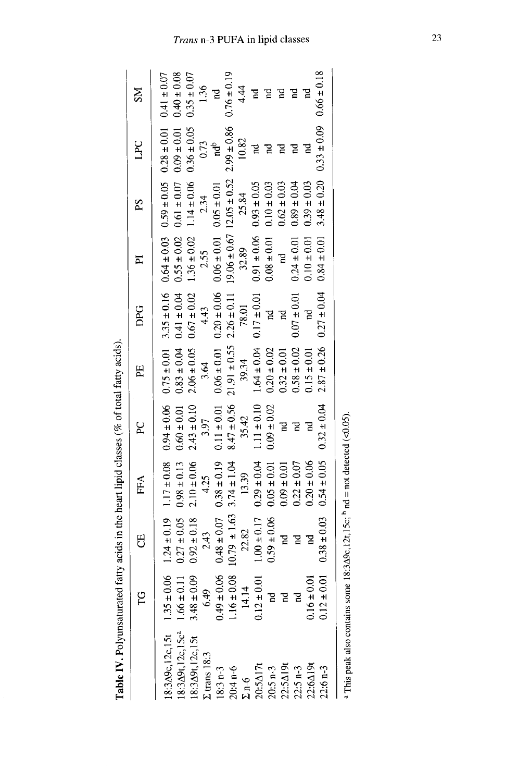| Table IV. Polyunsaturated fatty acids in the heart lipid classes (% of total fatty acids). |                                  |                  |                 |                 |                  |                 |                 |                                   |                 |                 |
|--------------------------------------------------------------------------------------------|----------------------------------|------------------|-----------------|-----------------|------------------|-----------------|-----------------|-----------------------------------|-----------------|-----------------|
|                                                                                            | С<br>Н                           | 5                | FFA             | R               | Ë                | DPG             | ℡               | SS                                | DC              | ŠМ              |
| $8:3\Delta 9c, 12c, 15t$ $1.35 \pm 0.06$                                                   |                                  | $1.24 \pm 0.19$  | $1.17 \pm 0.08$ | $0.94 \pm 0.06$ | $0.75 \pm 0.01$  | $3.35 \pm 0.16$ | $0.64 \pm 0.03$ | $0.59 \pm 0.05$                   | $0.28 \pm 0.01$ | $0.41 \pm 0.07$ |
| $18:3\Delta 9t, 12c, 15c^3$                                                                | $1.66 \pm 0.11$                  | $0.27 \pm 0.05$  | $0.98 \pm 0.13$ | $0.60\pm0.01$   | $0.83 \pm 0.04$  | $0.41 \pm 0.04$ | $0.55 \pm 0.02$ | $0.61 \pm 0.07$                   | $0.09 \pm 0.01$ | $0.40 \pm 0.08$ |
| 18:349t, 12c, 15t                                                                          | $3.48 \pm 0.09$                  | $0.92 \pm 0.18$  | $2.10 \pm 0.06$ | $2.43 \pm 0.10$ | $2.06 \pm 0.05$  | $0.67 \pm 0.02$ | $1.36 \pm 0.02$ | $1.14 \pm 0.06$                   | $0.36 \pm 0.05$ | $0.35 \pm 0.07$ |
| $\Sigma$ trans $18:3$                                                                      | 6.49                             | 2.43             | 4.25            | 3.97            | 3.64             | 4.43            | 2.55            | 2.34                              | 0.73            | 1.36            |
| $18:3 n-3$                                                                                 | $0.49 \pm 0.06$                  | $0.48 \pm 0.07$  | $0.38 \pm 0.19$ | $0.11 \pm 0.01$ | $0.06 \pm 0.01$  | $0.20 \pm 0.06$ | $0.06 \pm 0.01$ | $0.05 \pm 0.01$                   | <sup>t</sup> pu | 5               |
| $20:4 n-6$                                                                                 | $1.16 \pm 0.08$                  | $10.79 \pm 1.63$ | $3.74 \pm 1.04$ | $8.47 \pm 0.56$ | $21.91 \pm 0.55$ | $2.26 \pm 0.11$ |                 | $19.06 \pm 0.67$ 12.05 $\pm 0.52$ | $2.99 \pm 0.86$ | $0.76 \pm 0.19$ |
| $\Sigma$ n-6                                                                               | 14.14                            | 22.82            | 13.39           | 35.42           | 39.34            | 78.01           | 32.89           | 25.84                             | 10.82           | 4.4             |
| $20:5\Delta17t$                                                                            | $12 \pm 0.01$                    | $1.00 \pm 0.17$  | $0.29 \pm 0.04$ | $1.11 \pm 0.10$ | $1.64 \pm 0.04$  | $0.17 \pm 0.01$ | $0.91 \pm 0.06$ | $0.93 \pm 0.05$                   | Pu              |                 |
| $20:5 n-3$                                                                                 |                                  | $0.59 \pm 0.06$  | $0.05 \pm 0.01$ | $0.09 \pm 0.02$ | $0.20 \pm 0.02$  | Ĕ               | $0.08 \pm 0.01$ | $0.10 \pm 0.03$                   |                 |                 |
| 22:5Δ19t                                                                                   | Ξ                                | 2                | $0.09 \pm 0.01$ | 51              | $0.32 \pm 0.01$  | Pu              |                 | $0.62 \pm 0.03$                   |                 |                 |
| $22:5 n-3$                                                                                 |                                  | F                | $0.22 \pm 0.07$ | 검               | $0.58 \pm 0.02$  | $0.07 \pm 0.01$ | $0.24 \pm 0.01$ | $0.89 \pm 0.04$                   |                 |                 |
| $22:6\triangle 19t$                                                                        | $\bar{\mathrm{S}}$<br>$0.16 \pm$ |                  | $0.20 \pm 0.06$ |                 | $0.15 \pm 0.01$  | é               | $0.10 \pm 0.01$ | $0.39 \pm 0.03$                   |                 |                 |
| $22:6 n-3$                                                                                 | 0.01<br>$0.12 +$                 | $0.38 \pm 0.03$  | $0.54 \pm 0.05$ | $0.32 \pm 0.04$ | $2.87 \pm 0.26$  | $0.27 \pm 0.04$ | $0.84 \pm 0.01$ | $3.48 \pm 0.20$                   | $0.33 \pm 0.09$ | $0.66 \pm 0.18$ |
|                                                                                            |                                  |                  |                 |                 |                  |                 |                 |                                   |                 |                 |

| <sup>a</sup> This peak also contains some 18:3 $\Delta$ 9c, 12t, 15c; <sup>b</sup> nd = not detected |
|------------------------------------------------------------------------------------------------------|
|                                                                                                      |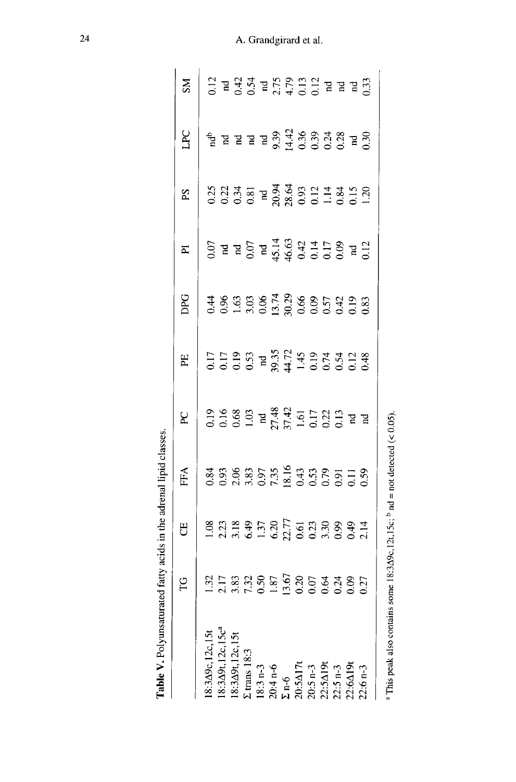|                                                                                                                                                                                          | <b>PG</b> | FO                                                                                                                                                                                                                                                                                                | FFA | R                                                                                                                                                                                                                                                                                                        | PE                                                                                                                    | DPG | $\overline{a}$                                                                                                                                                                                                                                                                                                                                                                | PS                                                                                    | <b>DAT</b>                                                                                                                                                                                                                                                                                                          | SM                                                                                                                                                                                                                                                                                                                                                                                  |
|------------------------------------------------------------------------------------------------------------------------------------------------------------------------------------------|-----------|---------------------------------------------------------------------------------------------------------------------------------------------------------------------------------------------------------------------------------------------------------------------------------------------------|-----|----------------------------------------------------------------------------------------------------------------------------------------------------------------------------------------------------------------------------------------------------------------------------------------------------------|-----------------------------------------------------------------------------------------------------------------------|-----|-------------------------------------------------------------------------------------------------------------------------------------------------------------------------------------------------------------------------------------------------------------------------------------------------------------------------------------------------------------------------------|---------------------------------------------------------------------------------------|---------------------------------------------------------------------------------------------------------------------------------------------------------------------------------------------------------------------------------------------------------------------------------------------------------------------|-------------------------------------------------------------------------------------------------------------------------------------------------------------------------------------------------------------------------------------------------------------------------------------------------------------------------------------------------------------------------------------|
| 18:3496,12c,15t<br>18:349t,12c,15c <sup>a</sup><br>18:349t,12c,15t<br>18:349t,12c,15t<br>18:3 n-3<br>20:541,7t<br>20:541,7t<br>20:541,7t<br>22:54.19<br>22:54.19<br>22:54.19<br>22:54.19 |           |                                                                                                                                                                                                                                                                                                   |     |                                                                                                                                                                                                                                                                                                          |                                                                                                                       |     |                                                                                                                                                                                                                                                                                                                                                                               |                                                                                       |                                                                                                                                                                                                                                                                                                                     |                                                                                                                                                                                                                                                                                                                                                                                     |
|                                                                                                                                                                                          |           |                                                                                                                                                                                                                                                                                                   |     |                                                                                                                                                                                                                                                                                                          |                                                                                                                       |     |                                                                                                                                                                                                                                                                                                                                                                               |                                                                                       |                                                                                                                                                                                                                                                                                                                     |                                                                                                                                                                                                                                                                                                                                                                                     |
|                                                                                                                                                                                          |           | $\begin{array}{cccccc}\n38 & 23 & 32 & 32 & 32 & 33 & 34 & 34 & 34 & 34 & 35 & 36 & 37 & 38 & 39 & 34 & 34 & 34 & 36 & 37 & 38 & 39 & 39 & 34 & 34 & 36 & 37 & 38 & 39 & 39 & 34 & 34 & 36 & 37 & 38 & 39 & 39 & 34 & 34 & 38 & 39 & 39 & 34 & 34 & 38 & 39 & 39 & 34 & 34 & 38 & 39 & 39 & 34 &$ |     | 0.19<br>0.19<br>0.19<br>1.19<br>2.19<br>1.19<br>0.19<br>1.19<br>0.19<br>1.19<br>1.19<br>1.19<br>1.19<br>1.19<br>1.19<br>1.19<br>1.19<br>1.19<br>1.19<br>1.19<br>1.19<br>1.19<br>1.19<br>1.19<br>1.19<br>1.19<br>1.19<br>1.19<br>1.19<br>1.19<br>1.19<br>1.19<br>1.19<br>1.19<br>1.19<br>1.19<br>1.19<br> | $17599$<br>$0.539$<br>$0.539$<br>$0.534$<br>$0.534$<br>$0.534$<br>$0.534$<br>$0.534$<br>$0.534$<br>$0.534$<br>$0.534$ |     | $6.5$ $\overline{6}$ $\overline{7}$ $\overline{4}$ $\overline{3}$ $\overline{4}$ $\overline{3}$ $\overline{4}$ $\overline{3}$ $\overline{4}$ $\overline{3}$ $\overline{4}$ $\overline{3}$ $\overline{4}$ $\overline{3}$ $\overline{4}$ $\overline{3}$ $\overline{4}$ $\overline{3}$ $\overline{4}$ $\overline{3}$ $\overline{4}$ $\overline{5}$ $\overline{6}$ $\overline{2}$ | $23.337$<br>$3.337$<br>$3.337$<br>$3.338$<br>$3.339$<br>$3.339$<br>$3.339$<br>$3.339$ |                                                                                                                                                                                                                                                                                                                     |                                                                                                                                                                                                                                                                                                                                                                                     |
|                                                                                                                                                                                          |           |                                                                                                                                                                                                                                                                                                   |     |                                                                                                                                                                                                                                                                                                          |                                                                                                                       |     |                                                                                                                                                                                                                                                                                                                                                                               |                                                                                       |                                                                                                                                                                                                                                                                                                                     |                                                                                                                                                                                                                                                                                                                                                                                     |
|                                                                                                                                                                                          |           |                                                                                                                                                                                                                                                                                                   |     |                                                                                                                                                                                                                                                                                                          |                                                                                                                       |     |                                                                                                                                                                                                                                                                                                                                                                               |                                                                                       |                                                                                                                                                                                                                                                                                                                     |                                                                                                                                                                                                                                                                                                                                                                                     |
|                                                                                                                                                                                          |           |                                                                                                                                                                                                                                                                                                   |     |                                                                                                                                                                                                                                                                                                          |                                                                                                                       |     |                                                                                                                                                                                                                                                                                                                                                                               |                                                                                       |                                                                                                                                                                                                                                                                                                                     |                                                                                                                                                                                                                                                                                                                                                                                     |
|                                                                                                                                                                                          |           |                                                                                                                                                                                                                                                                                                   |     |                                                                                                                                                                                                                                                                                                          |                                                                                                                       |     |                                                                                                                                                                                                                                                                                                                                                                               |                                                                                       |                                                                                                                                                                                                                                                                                                                     |                                                                                                                                                                                                                                                                                                                                                                                     |
|                                                                                                                                                                                          |           |                                                                                                                                                                                                                                                                                                   |     |                                                                                                                                                                                                                                                                                                          |                                                                                                                       |     |                                                                                                                                                                                                                                                                                                                                                                               |                                                                                       |                                                                                                                                                                                                                                                                                                                     |                                                                                                                                                                                                                                                                                                                                                                                     |
|                                                                                                                                                                                          |           |                                                                                                                                                                                                                                                                                                   |     |                                                                                                                                                                                                                                                                                                          |                                                                                                                       |     |                                                                                                                                                                                                                                                                                                                                                                               |                                                                                       |                                                                                                                                                                                                                                                                                                                     |                                                                                                                                                                                                                                                                                                                                                                                     |
|                                                                                                                                                                                          |           |                                                                                                                                                                                                                                                                                                   |     |                                                                                                                                                                                                                                                                                                          |                                                                                                                       |     |                                                                                                                                                                                                                                                                                                                                                                               |                                                                                       |                                                                                                                                                                                                                                                                                                                     |                                                                                                                                                                                                                                                                                                                                                                                     |
|                                                                                                                                                                                          |           |                                                                                                                                                                                                                                                                                                   |     |                                                                                                                                                                                                                                                                                                          |                                                                                                                       |     |                                                                                                                                                                                                                                                                                                                                                                               |                                                                                       |                                                                                                                                                                                                                                                                                                                     |                                                                                                                                                                                                                                                                                                                                                                                     |
|                                                                                                                                                                                          |           |                                                                                                                                                                                                                                                                                                   |     |                                                                                                                                                                                                                                                                                                          |                                                                                                                       |     |                                                                                                                                                                                                                                                                                                                                                                               |                                                                                       |                                                                                                                                                                                                                                                                                                                     |                                                                                                                                                                                                                                                                                                                                                                                     |
|                                                                                                                                                                                          |           |                                                                                                                                                                                                                                                                                                   |     |                                                                                                                                                                                                                                                                                                          |                                                                                                                       |     |                                                                                                                                                                                                                                                                                                                                                                               |                                                                                       | $\frac{1}{6}$ $\frac{1}{6}$ $\frac{1}{6}$ $\frac{1}{6}$ $\frac{1}{6}$ $\frac{1}{6}$ $\frac{1}{6}$ $\frac{1}{6}$ $\frac{1}{6}$ $\frac{1}{6}$ $\frac{1}{6}$ $\frac{1}{6}$ $\frac{1}{6}$ $\frac{1}{6}$ $\frac{1}{6}$ $\frac{1}{6}$ $\frac{1}{6}$ $\frac{1}{6}$ $\frac{1}{6}$ $\frac{1}{6}$ $\frac{1}{6}$ $\frac{1}{6}$ | $\begin{array}{c} 12 \\ 0 \\ 2 \\ 3 \\ 4 \\ 5 \\ 6 \\ 3 \\ 7 \\ 1 \\ 6 \\ 7 \\ 8 \\ 9 \\ 1 \\ 1 \\ 1 \\ 1 \\ 2 \\ 1 \\ 2 \\ 3 \\ 4 \\ 5 \\ 6 \\ 7 \\ 8 \\ 9 \\ 1 \\ 1 \\ 2 \\ 3 \\ 4 \\ 4 \\ 5 \\ 9 \\ 1 \\ 1 \\ 2 \\ 3 \\ 4 \\ 4 \\ 5 \\ 4 \\ 5 \\ 6 \\ 7 \\ 9 \\ 1 \\ 1 \\ 2 \\ 3 \\ 4 \\ 4 \\ 5 \\ 4 \\ 5 \\ 5 \\ 6 \\ 7 \\ 9 \\ 1 \\ 1 \\ 2 \\ 3 \\ 4 \\ 4 \\ 5 \\ 4 \\ 5 \\ 5$ |
|                                                                                                                                                                                          |           |                                                                                                                                                                                                                                                                                                   |     |                                                                                                                                                                                                                                                                                                          |                                                                                                                       |     |                                                                                                                                                                                                                                                                                                                                                                               |                                                                                       |                                                                                                                                                                                                                                                                                                                     |                                                                                                                                                                                                                                                                                                                                                                                     |

<sup>a</sup> This peak also contains some 18:3 $\Delta$ 9c,12t,15c; <sup>b</sup> nd = not detected (< 0.05).

Table V. Polyunsaturated fatty acids in the adrenal lipid classes.

A. Grandgirard et al.

 $\overline{24}$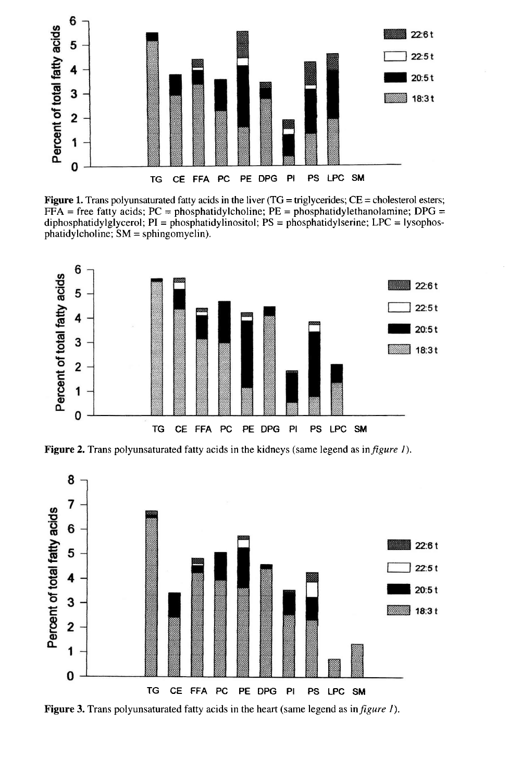

**Figure 1.** Trans polyunsaturated fatty acids in the liver  $(TG = triglycerides; CE = cholesterol esters;$  $FFA$  = free fatty acids; PC = phosphatidylcholine; PE = phosphatidylethanolamine; DPG = diphosphatidylglycerol;  $PI =$ phosphatidylinositol;  $PS =$ phosphatidylserine;  $LPC =$ lysophos $phatidyleholine$ ;  $SM = sphingomyelin$ ).



Figure 2. Trans polyunsaturated fatty acids in the kidneys (same legend as in *figure 1*).



Figure 3. Trans polyunsaturated fatty acids in the heart (same legend as in *figure 1*).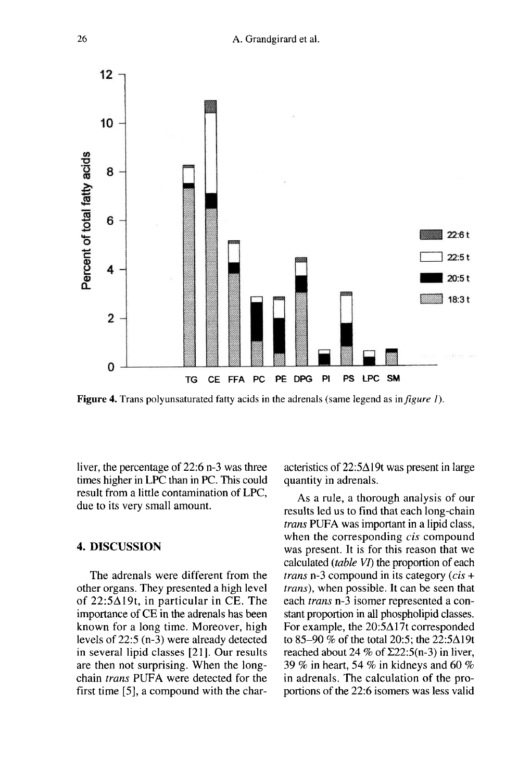

**Figure 4.** Trans polyunsaturated fatty acids in the adrenals (same legend as in *figure 1)*.

liver, the percentage of 22:6 n-3 was three times higher in LPC than in PC. This could result from a little contamination of LPC, due to its very small amount.

#### 4. DISCUSSION

The adrenals were different from the other organs. They presented a high level of  $22:5\Delta19t$ , in particular in CE. The importance of CE in the adrenals has been known for a long time. Moreover, high levels of 22:5 (n-3) were already detected in several lipid classes [21]. Our results are then not surprising. When the longchain trans PUFA were detected for the first time [5], a compound with the characteristics of  $22:5\Delta19t$  was present in large quantity in adrenals.

As a rule, a thorough analysis of our results led us to find that each long-chain *trans* PUFA was important in a lipid class, when the corresponding *cis* compound was present. It is for this reason that we calculated (table VI) the proportion of each *trans* n-3 compound in its category  $(cis +$ trans), when possible. It can be seen that each trans n-3 isomer represented a constant proportion in all phospholipid classes.<br>For example, the 20:5 $\Delta$ 17t corresponded to 85-90 % of the total 20:5; the 22:5 $\Delta$ 19t reached about 24 % of  $\Sigma$ 22:5(n-3) in liver, 39 % in heart, 54 % in kidneys and 60 % in adrenals. The calculation of the proportions of the 22:6 isomers was less valid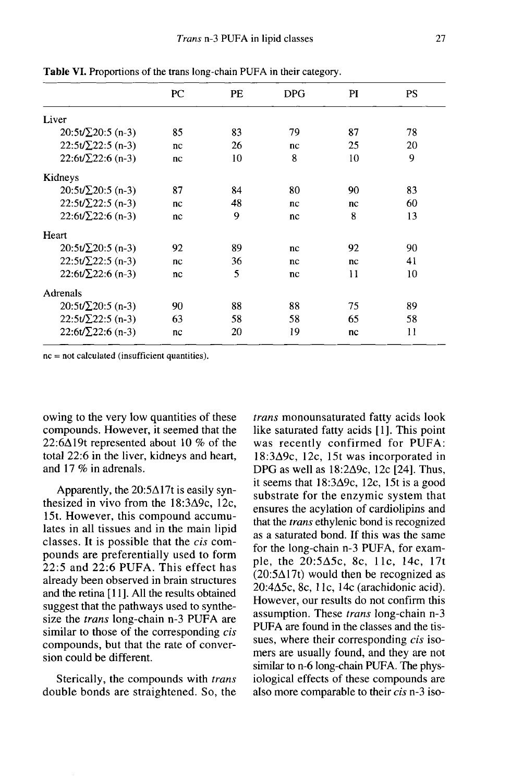|                           | PC | PE | <b>DPG</b> | PI | PS |
|---------------------------|----|----|------------|----|----|
| Liver                     |    |    |            |    |    |
| $20:5t/\Sigma 20:5$ (n-3) | 85 | 83 | 79         | 87 | 78 |
| $22:5t/\Sigma 22:5$ (n-3) | nc | 26 | nc         | 25 | 20 |
| $22:6t/\Sigma 22:6$ (n-3) | nc | 10 | 8          | 10 | 9  |
| Kidneys                   |    |    |            |    |    |
| $20:5t/\Sigma 20:5$ (n-3) | 87 | 84 | 80         | 90 | 83 |
| $22:5t/\Sigma 22:5$ (n-3) | nc | 48 | nc         | nc | 60 |
| $22:6t/\Sigma 22:6(n-3)$  | nc | 9  | nc         | 8  | 13 |
| Heart                     |    |    |            |    |    |
| $20:5t/\Sigma 20:5$ (n-3) | 92 | 89 | nc         | 92 | 90 |
| $22:5t/\Sigma 22:5$ (n-3) | nc | 36 | nc         | nc | 41 |
| $22:6t/\Sigma 22:6(n-3)$  | nc | 5  | nc         | 11 | 10 |
| Adrenals                  |    |    |            |    |    |
| $20:5t/\Sigma 20:5$ (n-3) | 90 | 88 | 88         | 75 | 89 |
| $22:5t/\sum 22:5(n-3)$    | 63 | 58 | 58         | 65 | 58 |
| $22:6t/\Sigma 22:6$ (n-3) | nc | 20 | 19         | nc | 11 |

Table VI. Proportions of the trans long-chain PUFA in their category.

 $nc = not calculated (insufficient quantities).$ 

owing to the very low quantities of these compounds. However, it seemed that the 22:6 $\Delta$ 19t represented about 10 % of the total 22:6 in the liver, kidneys and heart, and 17 % in adrenals.

Apparently, the  $20:5\Delta17t$  is easily synthesized in vivo from the 18:3A9c, 12c, 15t. However, this compound accumulates in all tissues and in the main lipid classes. It is possible that the cis compounds are preferentially used to form 22:5 and 22:6 PUFA. This effect has already been observed in brain structures and the retina [11]. All the results obtained suggest that the pathways used to synthesize the *trans* long-chain n-3 PUFA are similar to those of the corresponding *cis* compounds, but that the rate of conversion could be different.

Sterically, the compounds with *trans* double bonds are straightened. So, the

trans monounsaturated fatty acids look<br>like saturated fatty acids [1]. This point was recently confirmed for PUFA: 18:3A9c, 12c, 15t was incorporated in DPG as well as  $18:2\Delta9c$ ,  $12c$   $\overline{2}41$ . Thus, it seems that  $18:3\Delta9c$ , 12c, 15t is a good substrate for the enzymic system that ensures the acylation of cardiolipins and that the trans ethylenic bond is recognized as a saturated bond. If this was the same for the long-chain n-3 PUFA, for example, the 20:5A5c, 8c, llc, 14c, 17t  $(20:5\Delta)$ 17t) would then be recognized as 20:4A5c, 8c, I Ic, 14c (arachidonic acid). However, our results do not confirm this assumption. These trans long-chain n-3 PUFA are found in the classes and the tissues, where their corresponding *cis* isomers are usually found, and they are not similar to n-6 long-chain PUFA. The physiological effects of these compounds are also more comparable to their cis n-3 iso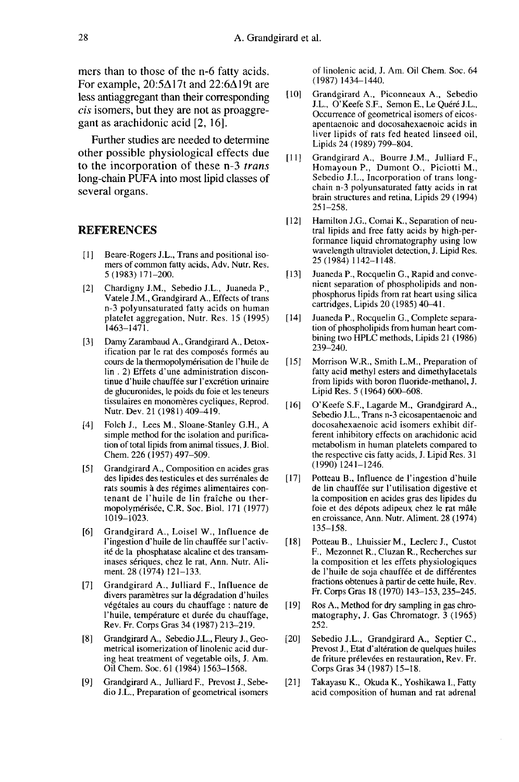mers than to those of the n-6 fatty acids. For example,  $20:5\Delta$ 17t and  $22:6\Delta$ 19t are less antiaggregant than their corresponding cis isomers, but they are not as proaggregant as arachidonic acid [2, 16].

Further studies are needed to determine other possible physiological effects due to the incorporation of these n-3 trans long-chain PUFA into most lipid classes of several organs.

#### REFERENCES

- [1] Beare-Rogers J.L., Trans and positional isomers of common fatty acids, Adv. Nutr. Res. 5 (1983) 171-200.
- [2] Chardigny J.M., Sebedio J.L., Juaneda P., Vatele J.M., Grandgirard A., Effects of trans n-3 polyunsaturated fatty acids on human platelet aggregation, Nutr. Res. 15 (1995)  $1463 - 1471.$
- [3] Damy Zarambaud A., Grandgirard A., Detoxification par le rat des composés formés au cours de la thermopolymerisation de 1'huile de lin . 2) Effets d'une administration discontinue d'huile chauffée sur l'excrétion urinaire de glucuronides, le poids du foie et les teneurs tissulaires en monomères cycliques, Reprod. Nutr. Dev. 21 (1981) 409-419.
- [4] Folch J., Lees M., Sloane-Stanley G.H., A simple method for the isolation and purification of total lipids from animal tissues, J. Biol. Chem. 226 (1957) 497-509.
- [5] Grandgirard A., Composition en acides gras des lipides des testicules et des surrénales de rats soumis a des regimes alimentaires contenant de l'huile de lin fraiche ou thermopolymérisée, C.R. Soc. Biol. 171 (1977) 1019-1023.
- [6] Grandgirard A., Loisel W., Influence de l'ingestion d'huile de lin chauffée sur l'activit6 de la phosphatase alcaline et des transaminases s6riques, chez le rat, Ann. Nutr. Aliment. 28 (1974) 121-133.
- [7] Grandgirard A., Julliard F., Influence de ité de la phosphatase alcaline et des transaminases sériques, chez le rat, Ann. Nutr. Aliment. 28 (1974) 121–133.<br>Grandgirard A., Julliard F., Influence de<br>divers paramètres sur la dégradation d'huiles<br>végétales au cours d v6g6tales au cours du chauffage : nature de l'huile, température et durée du chauffage, Rev. Fr. Corps Gras 34 (1987) 213-219.
- [8] Grandgirard A., Sebedio J.L., Fleury J., Geometrical isomerization of linolenic acid during heat treatment of vegetable oils, J. Am. Oil Chem. Soc. 61 (1984) 1563-1568.
- [9] Grandgirard A., Julliard F., Prevost J., Sebedio J.L., Preparation of geometrical isomers

of linolenic acid, J. Am. Oil Chem. Soc. 64 (1987)1434-1440.

- [10] Grandgirard A., Piconneaux A., Sebedio J.L., O'Keefe S.F., Semon E., Le Quéré J.L., Occurrence of geometrical isomers of eicosapentaenoic and docosahexaenoic acids in liver lipids of rats fed heated linseed oil, Lipids 24 (1989) 799-804.
- [11] Grandgirard A., Bourre J.M., Julliard F., Homayoun P., Dumont 0., Piciotti M., Sebedio J.L., Incorporation of trans longchain n-3 polyunsaturated fatty acids in rat brain structures and retina, Lipids 29 (1994) 251-258.
- [12] Hamilton J.G., Comai K., Separation of neutral lipids and free fatty acids by high-performance liquid chromatography using low wavelength ultraviolet detection, J. Lipid Res. 25 (1984) l 142-1148.
- [13] Juaneda P., Rocquelin G., Rapid and convenient separation of phospholipids and nonphosphorus lipids from rat heart using silica cartridges, Lipids 20 (1985) 40-41.
- [14] Juaneda P., Rocquelin G., Complete separa- tion of phospholipids from human heart combining two HPLC methods, Lipids 21 (1986)  $239 - 240$ .
- [15] Morrison W.R., Smith L.M., Preparation of fatty acid methyl esters and dimethylacetals from lipids with boron fluoride-methanol, J. Lipid Res. 5 (1964) 600-608.
- [16] O'Keefe S.F., Lagarde M., Grandgirard A., Sebedio J.L., Trans n-3 eicosapentaenoic and docosahexaenoic acid isomers exhibit different inhibitory effects on arachidonic acid metabolism in human platelets compared to the respective cis fatty acids, J. Lipid Res. 31 (1990) 1241-1246.
- [17] Potteau B., Influence de 1'ingestion d'huile de lin chauffée sur l'utilisation digestive et la composition en acides gras des lipides du foie et des depots adipeux chez le rat male en croissance, Ann. Nutr. Aliment. 28 (1974) 135-158.
- [18] Potteau B., Lhuissier M., Leclerc J., Custot F., Mezonnet R., Cluzan R., Recherches sur la composition et les effets physiologiques de l'huile de soja chauffée et de différentes fractions obtenues à partir de cette huile, Rev. Fr. Corps Gras 18 (1970) 143-153, 235-245.
- [19] Ros A., Method for dry sampling in gas chromatography, J. Gas Chromatogr. 3 (1965) 252.
- [20] Sebedio J.L., Grandgirard A., Septier C., Prevost J., Etat d'altération de quelques huiles de friture prélevées en restauration, Rev. Fr. Corps Gras 34 (1987) 15-18.
- [21] Takayasu K., Okuda K., Yoshikawa I., Fatty acid composition of human and rat adrenal